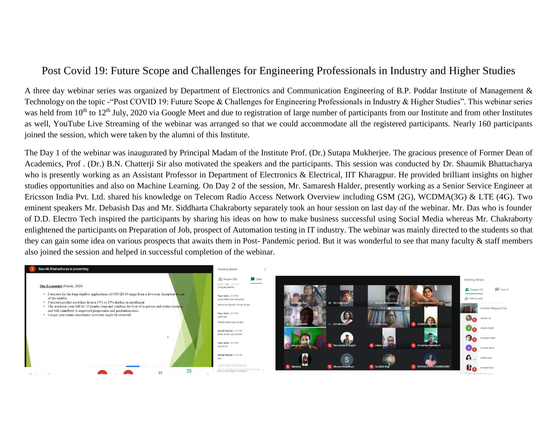## Post Covid 19: Future Scope and Challenges for Engineering Professionals in Industry and Higher Studies

A three day webinar series was organized by Department of Electronics and Communication Engineering of B.P. Poddar Institute of Management & Technology on the topic -"Post COVID 19: Future Scope & Challenges for Engineering Professionals in Industry & Higher Studies". This webinar series was held from 10<sup>th</sup> to 12<sup>th</sup> July, 2020 via Google Meet and due to registration of large number of participants from our Institute and from other Institutes as well, YouTube Live Streaming of the webinar was arranged so that we could accommodate all the registered participants. Nearly 160 participants joined the session, which were taken by the alumni of this Institute.

The Day 1 of the webinar was inaugurated by Principal Madam of the Institute Prof. (Dr.) Sutapa Mukherjee. The gracious presence of Former Dean of Academics, Prof . (Dr.) B.N. Chatterji Sir also motivated the speakers and the participants. This session was conducted by Dr. Shaumik Bhattacharya who is presently working as an Assistant Professor in Department of Electronics & Electrical, IIT Kharagpur. He provided brilliant insights on higher studies opportunities and also on Machine Learning. On Day 2 of the session, Mr. Samaresh Halder, presently working as a Senior Service Engineer at Ericsson India Pvt. Ltd. shared his knowledge on Telecom Radio Access Network Overview including GSM (2G), WCDMA(3G) & LTE (4G). Two eminent speakers Mr. Debasish Das and Mr. Siddharta Chakraborty separately took an hour session on last day of the webinar. Mr. Das who is founder of D.D. Electro Tech inspired the participants by sharing his ideas on how to make business successful using Social Media whereas Mr. Chakraborty enlightened the participants on Preparation of Job, prospect of Automation testing in IT industry. The webinar was mainly directed to the students so that they can gain some idea on various prospects that awaits them in Post- Pandemic period. But it was wonderful to see that many faculty & staff members also joined the session and helped in successful completion of the webinar.